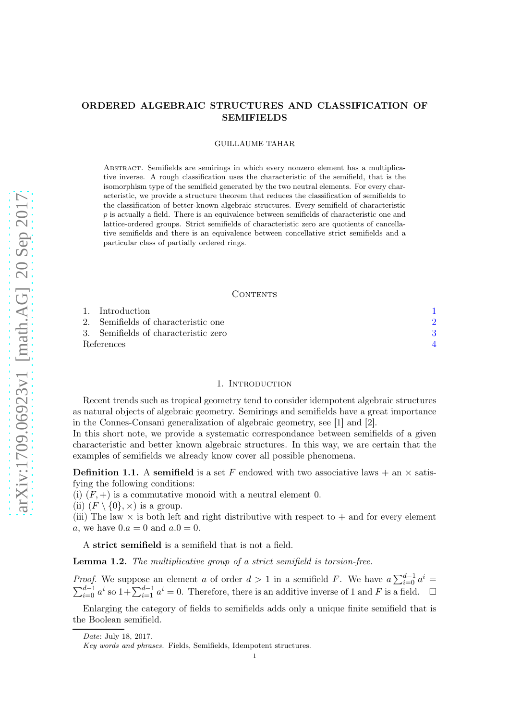# ORDERED ALGEBRAIC STRUCTURES AND CLASSIFICATION OF SEMIFIELDS

#### GUILLAUME TAHAR

Abstract. Semifields are semirings in which every nonzero element has a multiplicative inverse. A rough classification uses the characteristic of the semifield, that is the isomorphism type of the semifield generated by the two neutral elements. For every characteristic, we provide a structure theorem that reduces the classification of semifields to the classification of better-known algebraic structures. Every semifield of characteristic  $p$  is actually a field. There is an equivalence between semifields of characteristic one and lattice-ordered groups. Strict semifields of characteristic zero are quotients of cancellative semifields and there is an equivalence between concellative strict semifields and a particular class of partially ordered rings.

## CONTENTS

|            | 1. Introduction                      |  |
|------------|--------------------------------------|--|
|            | 2. Semifields of characteristic one  |  |
|            | 3. Semifields of characteristic zero |  |
| References |                                      |  |

#### 1. INTRODUCTION

<span id="page-0-0"></span>Recent trends such as tropical geometry tend to consider idempotent algebraic structures as natural objects of algebraic geometry. Semirings and semifields have a great importance in the Connes-Consani generalization of algebraic geometry, see [\[1\]](#page-3-1) and [\[2\]](#page-3-2).

In this short note, we provide a systematic correspondance between semifields of a given characteristic and better known algebraic structures. In this way, we are certain that the examples of semifields we already know cover all possible phenomena.

**Definition 1.1.** A semifield is a set F endowed with two associative laws  $+$  an  $\times$  satisfying the following conditions:

(i)  $(F, +)$  is a commutative monoid with a neutral element 0.

(ii)  $(F \setminus \{0\}, \times)$  is a group.

(iii) The law  $\times$  is both left and right distributive with respect to  $+$  and for every element a, we have  $0.a = 0$  and  $a.0 = 0$ .

A strict semifield is a semifield that is not a field.

Lemma 1.2. The multiplicative group of a strict semifield is torsion-free.

*Proof.* We suppose an element a of order  $d > 1$  in a semifield F. We have  $a \sum_{i=0}^{d-1} a^i =$  $\sum_{i=0}^{d-1} a^i$  so  $1+\sum_{i=1}^{d-1} a^i=0$ . Therefore, there is an additive inverse of 1 and F is a field.  $\square$ 

Enlarging the category of fields to semifields adds only a unique finite semifield that is the Boolean semifield.

Date: July 18, 2017.

Key words and phrases. Fields, Semifields, Idempotent structures.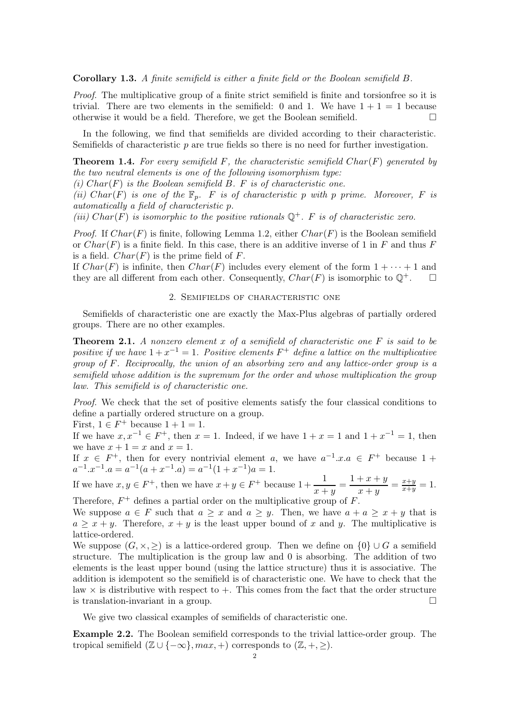Corollary 1.3. A finite semifield is either a finite field or the Boolean semifield B.

Proof. The multiplicative group of a finite strict semifield is finite and torsionfree so it is trivial. There are two elements in the semifield: 0 and 1. We have  $1 + 1 = 1$  because otherwise it would be a field. Therefore, we get the Boolean semifield.

In the following, we find that semifields are divided according to their characteristic. Semifields of characteristic  $p$  are true fields so there is no need for further investigation.

**Theorem 1.4.** For every semifield  $F$ , the characteristic semifield  $Char(F)$  generated by the two neutral elements is one of the following isomorphism type:

(i)  $Char(F)$  is the Boolean semifield B. F is of characteristic one.

(ii) Char(F) is one of the  $\mathbb{F}_p$ . F is of characteristic p with p prime. Moreover, F is automatically a field of characteristic p.

(iii) Char(F) is isomorphic to the positive rationals  $\mathbb{Q}^+$ . F is of characteristic zero.

*Proof.* If  $Char(F)$  is finite, following Lemma 1.2, either  $Char(F)$  is the Boolean semifield or  $Char(F)$  is a finite field. In this case, there is an additive inverse of 1 in F and thus F is a field.  $Char(F)$  is the prime field of F.

<span id="page-1-0"></span>If  $Char(F)$  is infinite, then  $Char(F)$  includes every element of the form  $1 + \cdots + 1$  and they are all different from each other. Consequently,  $Char(F)$  is isomorphic to  $\mathbb{Q}^+$ .

### 2. Semifields of characteristic one

Semifields of characteristic one are exactly the Max-Plus algebras of partially ordered groups. There are no other examples.

**Theorem 2.1.** A nonzero element x of a semifield of characteristic one  $F$  is said to be positive if we have  $1+x^{-1}=1$ . Positive elements  $F^+$  define a lattice on the multiplicative group of F. Reciprocally, the union of an absorbing zero and any lattice-order group is a semifield whose addition is the supremum for the order and whose multiplication the group law. This semifield is of characteristic one.

Proof. We check that the set of positive elements satisfy the four classical conditions to define a partially ordered structure on a group.

First,  $1 \in F^+$  because  $1 + 1 = 1$ .

If we have  $x, x^{-1} \in F^+$ , then  $x = 1$ . Indeed, if we have  $1 + x = 1$  and  $1 + x^{-1} = 1$ , then we have  $x + 1 = x$  and  $x = 1$ .

If  $x \in F^+$ , then for every nontrivial element a, we have  $a^{-1}.x.a \in F^+$  because 1 +  $a^{-1} \cdot x^{-1} \cdot a = a^{-1}(a + x^{-1} \cdot a) = a^{-1}(1 + x^{-1})a = 1.$ 

If we have  $x, y \in F^+$ , then we have  $x + y \in F^+$  because  $1 + \frac{1}{\cdots}$  $\frac{1}{x+y} = \frac{1+x+y}{x+y}$  $\frac{+x+y}{x+y} = \frac{x+y}{x+y}$  $\frac{x+y}{x+y} = 1.$ Therefore,  $F^+$  defines a partial order on the multiplicative group of  $F$ .

We suppose  $a \in F$  such that  $a \geq x$  and  $a \geq y$ . Then, we have  $a + a \geq x + y$  that is  $a \geq x + y$ . Therefore,  $x + y$  is the least upper bound of x and y. The multiplicative is lattice-ordered.

We suppose  $(G, \times, \geq)$  is a lattice-ordered group. Then we define on  $\{0\} \cup G$  a semifield structure. The multiplication is the group law and 0 is absorbing. The addition of two elements is the least upper bound (using the lattice structure) thus it is associative. The addition is idempotent so the semifield is of characteristic one. We have to check that the law  $\times$  is distributive with respect to  $+$ . This comes from the fact that the order structure is translation-invariant in a group.

We give two classical examples of semifields of characteristic one.

Example 2.2. The Boolean semifield corresponds to the trivial lattice-order group. The tropical semifield  $(\mathbb{Z} \cup \{-\infty\}, max, +)$  corresponds to  $(\mathbb{Z}, +, \geq).$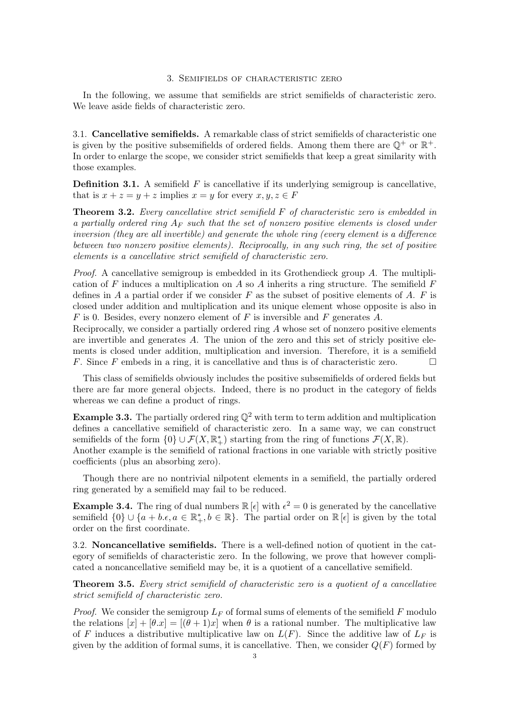### 3. Semifields of characteristic zero

<span id="page-2-0"></span>In the following, we assume that semifields are strict semifields of characteristic zero. We leave aside fields of characteristic zero.

3.1. Cancellative semifields. A remarkable class of strict semifields of characteristic one is given by the positive subsemifields of ordered fields. Among them there are  $\mathbb{Q}^+$  or  $\mathbb{R}^+$ . In order to enlarge the scope, we consider strict semifields that keep a great similarity with those examples.

**Definition 3.1.** A semifield  $F$  is cancellative if its underlying semigroup is cancellative, that is  $x + z = y + z$  implies  $x = y$  for every  $x, y, z \in F$ 

**Theorem 3.2.** Every cancellative strict semifield  $F$  of characteristic zero is embedded in a partially ordered ring  $A_F$  such that the set of nonzero positive elements is closed under inversion (they are all invertible) and generate the whole ring (every element is a difference between two nonzero positive elements). Reciprocally, in any such ring, the set of positive elements is a cancellative strict semifield of characteristic zero.

*Proof.* A cancellative semigroup is embedded in its Grothendieck group  $A$ . The multiplication of F induces a multiplication on A so A inherits a ring structure. The semifield  $F$ defines in A a partial order if we consider F as the subset of positive elements of A. F is closed under addition and multiplication and its unique element whose opposite is also in  $F$  is 0. Besides, every nonzero element of  $F$  is inversible and  $F$  generates  $A$ .

Reciprocally, we consider a partially ordered ring A whose set of nonzero positive elements are invertible and generates  $A$ . The union of the zero and this set of stricly positive elements is closed under addition, multiplication and inversion. Therefore, it is a semifield F. Since F embeds in a ring, it is cancellative and thus is of characteristic zero.  $\Box$ 

This class of semifields obviously includes the positive subsemifields of ordered fields but there are far more general objects. Indeed, there is no product in the category of fields whereas we can define a product of rings.

**Example 3.3.** The partially ordered ring  $\mathbb{Q}^2$  with term to term addition and multiplication defines a cancellative semifield of characteristic zero. In a same way, we can construct semifields of the form  $\{0\} \cup \mathcal{F}(X,\mathbb{R}^*_+)$  starting from the ring of functions  $\mathcal{F}(X,\mathbb{R})$ . Another example is the semifield of rational fractions in one variable with strictly positive coefficients (plus an absorbing zero).

Though there are no nontrivial nilpotent elements in a semifield, the partially ordered ring generated by a semifield may fail to be reduced.

**Example 3.4.** The ring of dual numbers  $\mathbb{R}[\epsilon]$  with  $\epsilon^2 = 0$  is generated by the cancellative semifield  $\{0\} \cup \{a+b.\epsilon, a \in \mathbb{R}_{+}^*, b \in \mathbb{R}\}.$  The partial order on  $\mathbb{R}[\epsilon]$  is given by the total order on the first coordinate.

3.2. Noncancellative semifields. There is a well-defined notion of quotient in the category of semifields of characteristic zero. In the following, we prove that however complicated a noncancellative semifield may be, it is a quotient of a cancellative semifield.

Theorem 3.5. Every strict semifield of characteristic zero is a quotient of a cancellative strict semifield of characteristic zero.

*Proof.* We consider the semigroup  $L_F$  of formal sums of elements of the semifield F modulo the relations  $[x] + [\theta \cdot x] = [(\theta + 1)x]$  when  $\theta$  is a rational number. The multiplicative law of F induces a distributive multiplicative law on  $L(F)$ . Since the additive law of  $L_F$  is given by the addition of formal sums, it is cancellative. Then, we consider  $Q(F)$  formed by